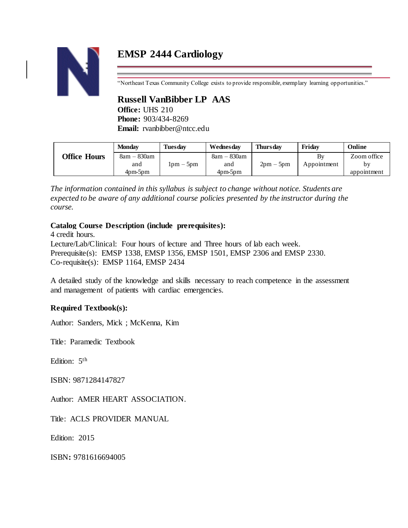# **EMSP 2444 Cardiology**



"Northeast Texas Community College exists to provide responsible, exemplary learning opportunities."

# **Russell VanBibber LP AAS**

**Office:** UHS 210 **Phone:** 903/434-8269 **Email:** rvanbibber@ntcc.edu

|                     | <b>Monday</b> | <b>Tuesdav</b> | Wednesdav   | <b>Thursday</b> | Fridav      | Online      |
|---------------------|---------------|----------------|-------------|-----------------|-------------|-------------|
| <b>Office Hours</b> | $8am - 830am$ |                | 8am – 830am |                 | By          | Zoom office |
|                     | and           | $1pm-5pm$      | and         | $2pm-5pm$       | Appointment | by          |
|                     | $4pm-5pm$     |                | $4pm-5pm$   |                 |             | appointment |

*The information contained in this syllabus is subject to change without notice. Students are expected to be aware of any additional course policies presented by the instructor during the course.*

## **Catalog Course Description (include prerequisites):**

4 credit hours.

Lecture/Lab/Clinical: Four hours of lecture and Three hours of lab each week. Prerequisite(s): EMSP 1338, EMSP 1356, EMSP 1501, EMSP 2306 and EMSP 2330. Co-requisite(s): EMSP 1164, EMSP 2434

A detailed study of the knowledge and skills necessary to reach competence in the assessment and management of patients with cardiac emergencies.

## **Required Textbook(s):**

Author: Sanders, Mick ; McKenna, Kim

Title: Paramedic Textbook

Edition: 5<sup>th</sup>

ISBN: 9871284147827

Author: AMER HEART ASSOCIATION.

Title: ACLS PROVIDER MANUAL

Edition: 2015

ISBN**:** 9781616694005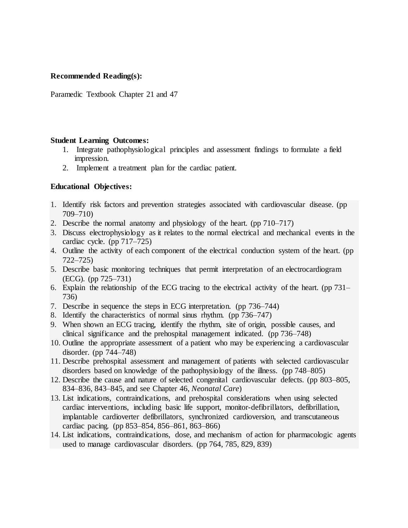#### **Recommended Reading(s):**

Paramedic Textbook Chapter 21 and 47

#### **Student Learning Outcomes:**

- 1. Integrate pathophysiological principles and assessment findings to formulate a field impression.
- 2. Implement a treatment plan for the cardiac patient.

### **Educational Objectives:**

- 1. Identify risk factors and prevention strategies associated with cardiovascular disease. (pp 709–710)
- 2. Describe the normal anatomy and physiology of the heart. (pp 710–717)
- 3. Discuss electrophysiology as it relates to the normal electrical and mechanical events in the cardiac cycle. (pp 717–725)
- 4. Outline the activity of each component of the electrical conduction system of the heart. (pp 722–725)
- 5. Describe basic monitoring techniques that permit interpretation of an electrocardiogram (ECG). (pp 725–731)
- 6. Explain the relationship of the ECG tracing to the electrical activity of the heart. (pp 731– 736)
- 7. Describe in sequence the steps in ECG interpretation. (pp 736–744)
- 8. Identify the characteristics of normal sinus rhythm. (pp 736–747)
- 9. When shown an ECG tracing, identify the rhythm, site of origin, possible causes, and clinical significance and the prehospital management indicated. (pp 736–748)
- 10. Outline the appropriate assessment of a patient who may be experiencing a cardiovascular disorder. (pp 744–748)
- 11. Describe prehospital assessment and management of patients with selected cardiovascular disorders based on knowledge of the pathophysiology of the illness. (pp 748–805)
- 12. Describe the cause and nature of selected congenital cardiovascular defects. (pp 803–805, 834–836, 843–845, and see Chapter 46, *Neonatal Care*)
- 13. List indications, contraindications, and prehospital considerations when using selected cardiac interventions, including basic life support, monitor-defibrillators, defibrillation, implantable cardioverter defibrillators, synchronized cardioversion, and transcutaneous cardiac pacing. (pp 853–854, 856–861, 863–866)
- 14. List indications, contraindications, dose, and mechanism of action for pharmacologic agents used to manage cardiovascular disorders. (pp 764, 785, 829, 839)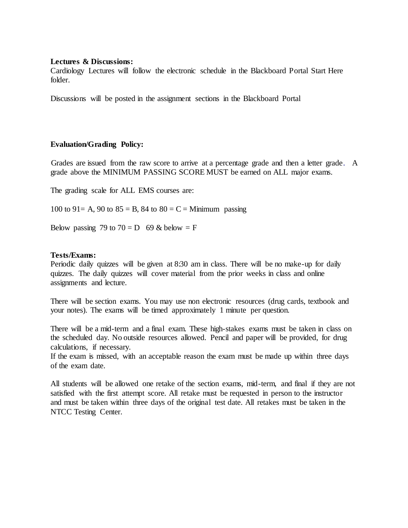#### **Lectures & Discussions:**

Cardiology Lectures will follow the electronic schedule in the Blackboard Portal Start Here folder.

Discussions will be posted in the assignment sections in the Blackboard Portal

### **Evaluation/Grading Policy:**

Grades are issued from the raw score to arrive at a percentage grade and then a letter grade. A grade above the MINIMUM PASSING SCORE MUST be earned on ALL major exams.

The grading scale for ALL EMS courses are:

100 to 91 = A, 90 to 85 = B, 84 to 80 = C = Minimum passing

Below passing 79 to  $70 = D$  69 & below = F

#### **Tests/Exams:**

Periodic daily quizzes will be given at 8:30 am in class. There will be no make-up for daily quizzes. The daily quizzes will cover material from the prior weeks in class and online assignments and lecture.

There will be section exams. You may use non electronic resources (drug cards, textbook and your notes). The exams will be timed approximately 1 minute per question.

There will be a mid-term and a final exam. These high-stakes exams must be taken in class on the scheduled day. No outside resources allowed. Pencil and paper will be provided, for drug calculations, if necessary.

If the exam is missed, with an acceptable reason the exam must be made up within three days of the exam date.

All students will be allowed one retake of the section exams, mid-term, and final if they are not satisfied with the first attempt score. All retake must be requested in person to the instructor and must be taken within three days of the original test date. All retakes must be taken in the NTCC Testing Center.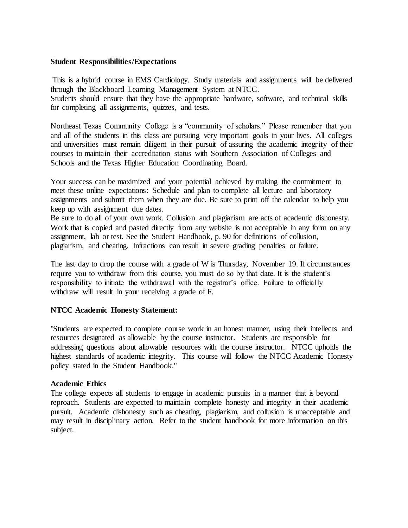#### **Student Responsibilities/Expectations**

This is a hybrid course in EMS Cardiology. Study materials and assignments will be delivered through the Blackboard Learning Management System at NTCC. Students should ensure that they have the appropriate hardware, software, and technical skills for completing all assignments, quizzes, and tests.

Northeast Texas Community College is a "community of scholars." Please remember that you and all of the students in this class are pursuing very important goals in your lives. All colleges and universities must remain diligent in their pursuit of assuring the academic integrity of their courses to maintain their accreditation status with Southern Association of Colleges and Schools and the Texas Higher Education Coordinating Board.

Your success can be maximized and your potential achieved by making the commitment to meet these online expectations: Schedule and plan to complete all lecture and laboratory assignments and submit them when they are due. Be sure to print off the calendar to help you keep up with assignment due dates.

Be sure to do all of your own work. Collusion and plagiarism are acts of academic dishonesty. Work that is copied and pasted directly from any website is not acceptable in any form on any assignment, lab or test. See the Student Handbook, p. 90 for definitions of collusion, plagiarism, and cheating. Infractions can result in severe grading penalties or failure.

The last day to drop the course with a grade of W is Thursday, November 19. If circumstances require you to withdraw from this course, you must do so by that date. It is the student's responsibility to initiate the withdrawal with the registrar's office. Failure to officially withdraw will result in your receiving a grade of F.

### **NTCC Academic Honesty Statement:**

"Students are expected to complete course work in an honest manner, using their intellects and resources designated as allowable by the course instructor. Students are responsible for addressing questions about allowable resources with the course instructor. NTCC upholds the highest standards of academic integrity. This course will follow the NTCC Academic Honesty policy stated in the Student Handbook."

#### **Academic Ethics**

The college expects all students to engage in academic pursuits in a manner that is beyond reproach. Students are expected to maintain complete honesty and integrity in their academic pursuit. Academic dishonesty such as cheating, plagiarism, and collusion is unacceptable and may result in disciplinary action. Refer to the student handbook for more information on this subject.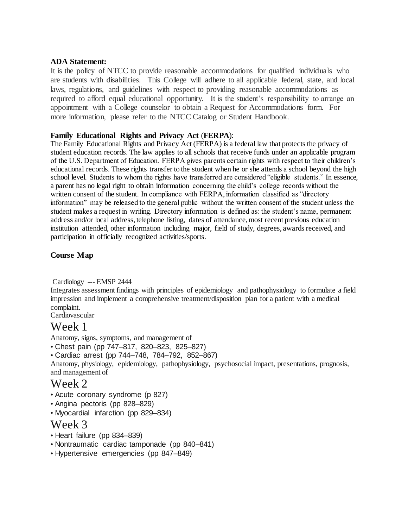#### **ADA Statement:**

It is the policy of NTCC to provide reasonable accommodations for qualified individuals who are students with disabilities. This College will adhere to all applicable federal, state, and local laws, regulations, and guidelines with respect to providing reasonable accommodations as required to afford equal educational opportunity. It is the student's responsibility to arrange an appointment with a College counselor to obtain a Request for Accommodations form. For more information, please refer to the NTCC Catalog or Student Handbook.

### **Family Educational Rights and Privacy Act** (**FERPA**):

The Family Educational Rights and Privacy Act (FERPA) is a federal law that protects the privacy of student education records. The law applies to all schools that receive funds under an applicable program of the U.S. Department of Education. FERPA gives parents certain rights with respect to their children's educational records. These rights transfer to the student when he or she attends a school beyond the high school level. Students to whom the rights have transferred are considered "eligible students." In essence, a parent has no legal right to obtain information concerning the child's college records without the written consent of the student. In compliance with FERPA, information classified as "directory information" may be released to the general public without the written consent of the student unless the student makes a request in writing. Directory information is defined as: the student's name, permanent address and/or local address, telephone listing, dates of attendance, most recent previous education institution attended, other information including major, field of study, degrees, awards received, and participation in officially recognized activities/sports.

## **Course Map**

Cardiology --- EMSP 2444

Integrates assessment findings with principles of epidemiology and pathophysiology to formulate a field impression and implement a comprehensive treatment/disposition plan for a patient with a medical complaint.

Cardiovascular

# Week 1

Anatomy, signs, symptoms, and management of

- Chest pain (pp 747–817, 820–823, 825–827)
- Cardiac arrest (pp 744–748, 784–792, 852–867)

Anatomy, physiology, epidemiology, pathophysiology, psychosocial impact, presentations, prognosis, and management of

## Week 2

- Acute coronary syndrome (p 827)
- Angina pectoris (pp 828–829)
- Myocardial infarction (pp 829–834)

# Week 3

- Heart failure (pp 834–839)
- Nontraumatic cardiac tamponade (pp 840–841)
- Hypertensive emergencies (pp 847–849)